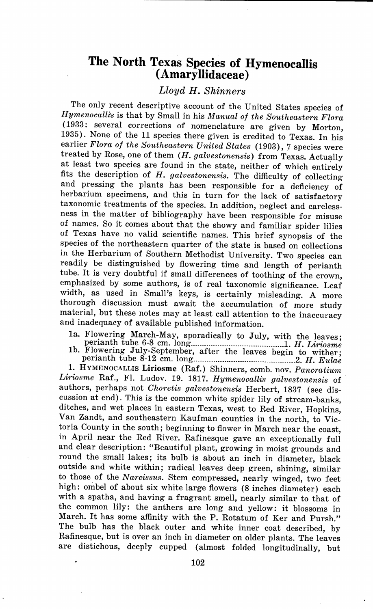## **The North Texas Species of Hyrnenocallis (Arnaryllidaceae)**

## *Lloyd* **H.** *Shinners*

The only recent descriptive account of the United States species of *Hymenocalli's* is that by Small in his *Manual of the Southeastern Flora*  ( 1933: several corrections of nomenclature are given by Morton, 1935). None of the 11 species there given is credited to Texas. In his earlier *Flora of the Southeastern United States* (1903), 7 species were treated by Rose, one of them *(H. galvestonensis)* from Texas. Actually at least two species are found in the state, neither of which entirely fits the description of *H. galvestonensis.* The difficulty of collecting and pressing the plants has been responsible for a deficiency of herbarium specimens, and this in turn for the lack of satisfactory taxonomic treatments of the species. In addition, neglect and carelessness in the matter of bibliography have been responsible for misuse of names. So it comes about that the showy and familiar spider lilies of Texas have no valid scientific names. This brief synopsis of the species of the northeastern quarter of the state is based on collections in the Herbarium of Southern Methodist University. Two species can readily be distinguished by flowering time and length of perianth tube. It is very doubtful if small differences of toothing of the crown, emphasized by some authors, is of real taxonomic significance. Leaf width, as used in Small's keys, is certainly misleading. A more thorough discussion must await the accumulation of more study material, but these notes may at least call attention to the inaccuracy and inadequacy of available published information.

- la. Flowering March-May, sporadically to July, with the leaves; perianth tube 6-8 cm. long \_\_\_\_\_\_\_\_\_\_\_\_\_\_\_\_\_\_\_\_\_\_\_\_\_\_\_\_\_ ·············l. *H. Liriosme*
- lb. Flowering July-September, after the leaves begin to wither;

1. HYMENOCALLIS Liriosme (Raf.) Shinners, comb. nov. *Pancratium Liriosme* Raf., Fl. Ludov. 19. 1817. *Hymenocalli:s galvestonensis* of authors, perhaps not *Choretis galvestonensis* Herbert, 1837 (see discussion at end). This is the common white spider lily of stream-banks, ditches, and wet places in eastern Texas, west to Red River, Hopkins, Van Zandt, and southeastern Kaufman counties in the north, to Victoria County in the south; beginning to flower in March near the coast, in April near the Red River. Rafinesque gave an exceptionally full and clear description: "Beautiful plant, growing in moist grounds and round the small lakes; its bulb is about an inch in diameter, black outside and white within; radical leaves deep green, shining, similar to those of the *Narcissus.* Stem compressed, nearly winged, two feet high: ombel of about six white large flowers (8 inches diameter) each with a spatha, and having a fragrant smell, nearly similar to that of the common lily: the anthers are long and yellow: it blossoms in March. It has some affinity with the P. Rotatum of Ker and Pursh." The bulb has the black outer and white inner coat described, by Rafinesque, but is over an inch in diameter on older plants. The leaves are distichous, deeply cupped (almost folded longitudinally, but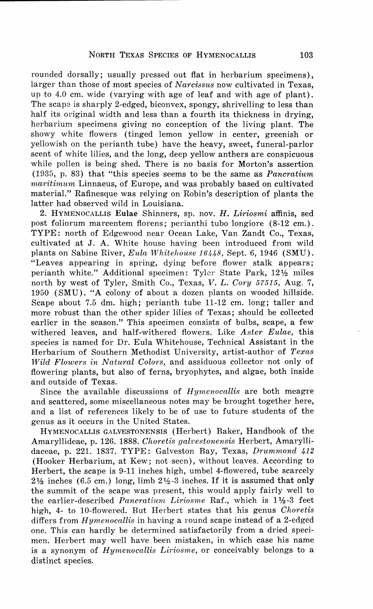rounded dorsally; usually pressed out flat in herbarium specimens), larger than those of most species of *Narcissus* now cultivated in Texas, up to 4.0 cm. wide (varying with age of leaf and with age of plant). The scape is sharply 2-edged, biconvex, spongy, shrivelling to less than half its original width and less than a fourth its thickness in drying, herbarium specimens giving no conception of the living plant. The showy white flowers (tinged lemon yellow in center, greenish or yellowish on the perianth tube) have the heavy, sweet, funeral-parlor scent of white lilies, and the long, deep yellow anthers are conspicuous while pollen is being shed. There is no basis for Morton's assertion (1935, p. 83) that "this species seems to be the same as *Pancratium maritimum* Linnaeus, of Europe, and was probably based on cultivated material." Rafinesque was relying on Robin's description of plants the latter had observed wild in Louisiana.

2. HYMENOCALLIS **Eulae** Shinners, sp. nov. *H. Liriosmi* affinis, sed post foliorum marcentem florens; perianthi tubo longiore (8-12 cm.). TYPE: north of Edgewood near Ocean Lake, Van Zandt Co., Texas, cultivated at J. A. White house having been introduced from wild <sup>p</sup>lants on Sabine River, *Eula Whitehouse 16448,* Sept. 6, 1946 (SMU). "Leaves appearing in spring, dying before flower stalk appears; perianth white." Additional specimen: Tyler State Park, 12½ miles north by west of Tyler, Smith Co., Texas, *V. L. Cory 57515,* Aug. 7, 1950 (SMU). "A colony of about a dozen plants on wooded hillside. Scape about 7.5 dm. high; perianth tube 11-12 cm. long; taller and more robust than the other spider lilies of Texas; should be collected earlier in the season." This specimen consists of bulbs, scape, a few withered leaves, and half-withered flowers. Like *Aster Eulae,* this species is named for Dr. Eula Whitehouse, Technical Assistant in the Herbarium of Southern Methodist University, artist-author of *Texas lVild Flowers in Natural Colors,* and assiduous collector not only of flowering plants, but also of ferns, bryophytes, and algae, both inside and outside of Texas.

Since the available discussions of *Hymenocallis* are both meagre and scattered, some miscellaneous notes may be brought together here, and a list of references likely to be of use to future students of the genus as it occurs in the United States.

HYMENOCALLIS GALVEST0NENSIS (Herbert) Baker, Handbook of the Amaryllideae, p. 126. 1888. *Choretis galvestonensis* Herbert, Amaryllidaceae, p. 221. 1837. TYPE: Galveston Bay, Texas, *Drummond 412*  (Hooker Herbarium, at Kew; not seen), without leaves. According to Herbert, the scape is 9-11 inches high, umbel 4-flowered, tube scarcely  $2\frac{1}{2}$  inches (6.5 cm.) long, limb  $2\frac{1}{2}$ -3 inches. If it is assumed that only the summit of the scape was present, this would apply fairly well to the earlier-described *Pancratium Liriosme* Raf., which is 1 ½-3 feet high, 4- to 10-flowered. But Herbert states that his genus *Choretis*  differs from *Hymenocallis* in having a round scape instead of a 2-edged one. This can hardly be determined satisfactorily from a dried specimen. Herbert may well have been mistaken, in which case his name is a synonym of *Hymenocallis Liriosme,* or conceivably belongs to a distinct species.